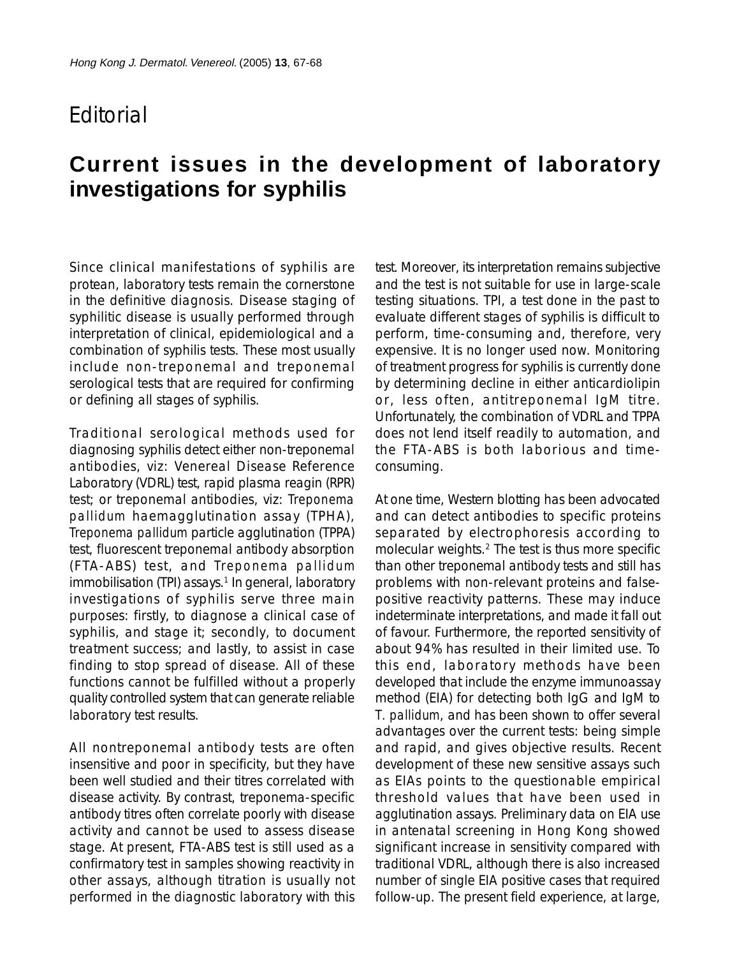## **F**ditorial

## **Current issues in the development of laboratory investigations for syphilis**

Since clinical manifestations of syphilis are protean, laboratory tests remain the cornerstone in the definitive diagnosis. Disease staging of syphilitic disease is usually performed through interpretation of clinical, epidemiological and a combination of syphilis tests. These most usually include non-treponemal and treponemal serological tests that are required for confirming or defining all stages of syphilis.

Traditional serological methods used for diagnosing syphilis detect either non-treponemal antibodies, viz: Venereal Disease Reference Laboratory (VDRL) test, rapid plasma reagin (RPR) test; or treponemal antibodies, viz: *Treponema pallidum* haemagglutination assay (TPHA), *Treponema pallidum* particle agglutination (TPPA) test, fluorescent treponemal antibody absorption (FTA-ABS) test, and *Treponema pallidum* immobilisation (TPI) assays.<sup>1</sup> In general, laboratory investigations of syphilis serve three main purposes: firstly, to diagnose a clinical case of syphilis, and stage it; secondly, to document treatment success; and lastly, to assist in case finding to stop spread of disease. All of these functions cannot be fulfilled without a properly quality controlled system that can generate reliable laboratory test results.

All nontreponemal antibody tests are often insensitive and poor in specificity, but they have been well studied and their titres correlated with disease activity. By contrast, treponema-specific antibody titres often correlate poorly with disease activity and cannot be used to assess disease stage. At present, FTA-ABS test is still used as a confirmatory test in samples showing reactivity in other assays, although titration is usually not performed in the diagnostic laboratory with this

test. Moreover, its interpretation remains subjective and the test is not suitable for use in large-scale testing situations. TPI, a test done in the past to evaluate different stages of syphilis is difficult to perform, time-consuming and, therefore, very expensive. It is no longer used now. Monitoring of treatment progress for syphilis is currently done by determining decline in either anticardiolipin or, less often, antitreponemal IgM titre. Unfortunately, the combination of VDRL and TPPA does not lend itself readily to automation, and the FTA-ABS is both laborious and timeconsuming.

At one time, Western blotting has been advocated and can detect antibodies to specific proteins separated by electrophoresis according to molecular weights.<sup>2</sup> The test is thus more specific than other treponemal antibody tests and still has problems with non-relevant proteins and falsepositive reactivity patterns. These may induce indeterminate interpretations, and made it fall out of favour. Furthermore, the reported sensitivity of about 94% has resulted in their limited use. To this end, laboratory methods have been developed that include the enzyme immunoassay method (EIA) for detecting both IgG and IgM to *T. pallidum*, and has been shown to offer several advantages over the current tests: being simple and rapid, and gives objective results. Recent development of these new sensitive assays such as EIAs points to the questionable empirical threshold values that have been used in agglutination assays. Preliminary data on EIA use in antenatal screening in Hong Kong showed significant increase in sensitivity compared with traditional VDRL, although there is also increased number of single EIA positive cases that required follow-up. The present field experience, at large,